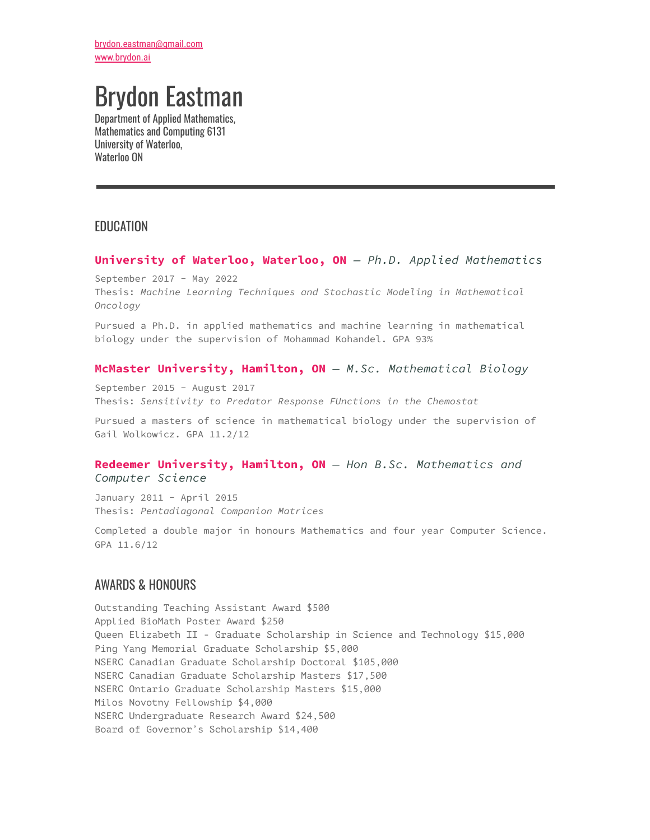[brydon.eastman@gmail.com](mailto:brydon.eastman@gmail.com) [www.brydon.ai](http://www.brydon.ai)

# Brydon Eastman

Department of Applied Mathematics, Mathematics and Computing 6131 University of Waterloo, Waterloo ON

## EDUCATION

#### **University of Waterloo, Waterloo, ON** *— Ph.D. Applied Mathematics*

September 2017 - May 2022 Thesis: *Machine Learning Techniques and Stochastic Modeling in Mathematical Oncology*

Pursued a Ph.D. in applied mathematics and machine learning in mathematical biology under the supervision of Mohammad Kohandel. GPA 93%

#### **McMaster University, Hamilton, ON** *— M.Sc. Mathematical Biology*

September 2015 - August 2017 Thesis: *Sensitivity to Predator Response FUnctions in the Chemostat*

Pursued a masters of science in mathematical biology under the supervision of Gail Wolkowicz. GPA 11.2/12

#### **Redeemer University, Hamilton, ON** *— Hon B.Sc. Mathematics and Computer Science*

January 2011 - April 2015 Thesis: *Pentadiagonal Companion Matrices*

Completed a double major in honours Mathematics and four year Computer Science. GPA 11.6/12

# AWARDS & HONOURS

Outstanding Teaching Assistant Award \$500 Applied BioMath Poster Award \$250 Queen Elizabeth II - Graduate Scholarship in Science and Technology \$15,000 Ping Yang Memorial Graduate Scholarship \$5,000 NSERC Canadian Graduate Scholarship Doctoral \$105,000 NSERC Canadian Graduate Scholarship Masters \$17,500 NSERC Ontario Graduate Scholarship Masters \$15,000 Milos Novotny Fellowship \$4,000 NSERC Undergraduate Research Award \$24,500 Board of Governor's Scholarship \$14,400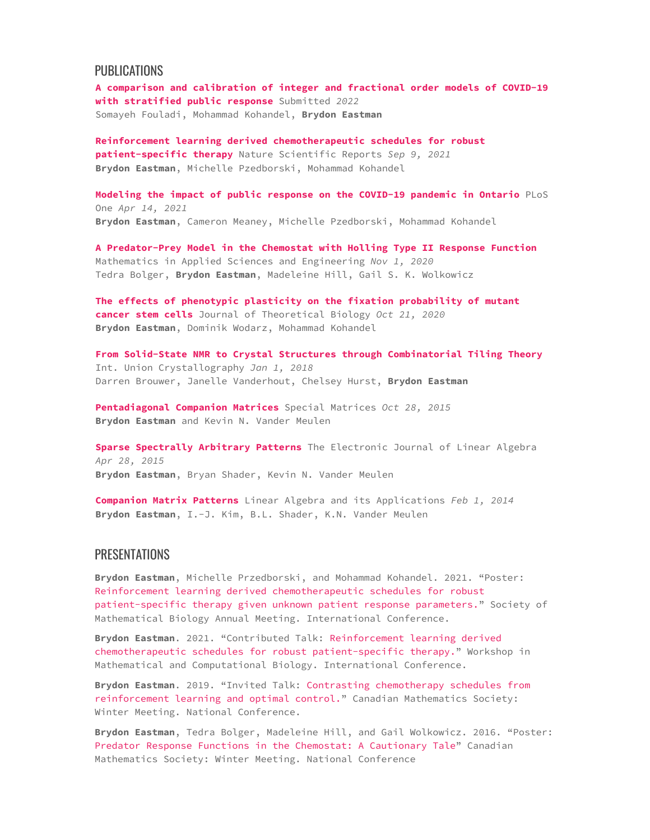#### **PUBLICATIONS**

**A comparison and calibration of integer and fractional order models of COVID-19 with stratified public response** Submitted *2022* Somayeh Fouladi, Mohammad Kohandel, **Brydon Eastman**

**Reinforcement learning derived chemotherapeutic schedules for robust patient-specific therapy** Nature Scientific Reports *Sep 9, 2021* **Brydon Eastman**, Michelle Pzedborski, Mohammad Kohandel

**Modeling the impact of public response on the COVID-19 pandemic in Ontario** PLoS One *Apr 14, 2021* **Brydon Eastman**, Cameron Meaney, Michelle Pzedborski, Mohammad Kohandel

**A Predator-Prey Model in the Chemostat with Holling Type II Response Function** Mathematics in Applied Sciences and Engineering *Nov 1, 2020* Tedra Bolger, **Brydon Eastman**, Madeleine Hill, Gail S. K. Wolkowicz

**The effects of phenotypic plasticity on the fixation probability of mutant cancer stem cells** Journal of Theoretical Biology *Oct 21, 2020* **Brydon Eastman**, Dominik Wodarz, Mohammad Kohandel

**From Solid-State NMR to Crystal Structures through Combinatorial Tiling Theory** Int. Union Crystallography *Jan 1, 2018* Darren Brouwer, Janelle Vanderhout, Chelsey Hurst, **Brydon Eastman**

**Pentadiagonal Companion Matrices** Special Matrices *Oct 28, 2015* **Brydon Eastman** and Kevin N. Vander Meulen

**Sparse Spectrally Arbitrary Patterns** The Electronic Journal of Linear Algebra *Apr 28, 2015* **Brydon Eastman**, Bryan Shader, Kevin N. Vander Meulen

**Companion Matrix Patterns** Linear Algebra and its Applications *Feb 1, 2014* **Brydon Eastman**, I.-J. Kim, B.L. Shader, K.N. Vander Meulen

#### **PRESENTATIONS**

**Brydon Eastman**, Michelle Przedborski, and Mohammad Kohandel. 2021. "Poster: Reinforcement learning derived chemotherapeutic schedules for robust patient-specific therapy given unknown patient response parameters." Society of Mathematical Biology Annual Meeting. International Conference.

**Brydon Eastman**. 2021. "Contributed Talk: Reinforcement learning derived chemotherapeutic schedules for robust patient-specific therapy." Workshop in Mathematical and Computational Biology. International Conference.

**Brydon Eastman**. 2019. "Invited Talk: Contrasting chemotherapy schedules from reinforcement learning and optimal control." Canadian Mathematics Society: Winter Meeting. National Conference.

**Brydon Eastman**, Tedra Bolger, Madeleine Hill, and Gail Wolkowicz. 2016. "Poster: Predator Response Functions in the Chemostat: A Cautionary Tale" Canadian Mathematics Society: Winter Meeting. National Conference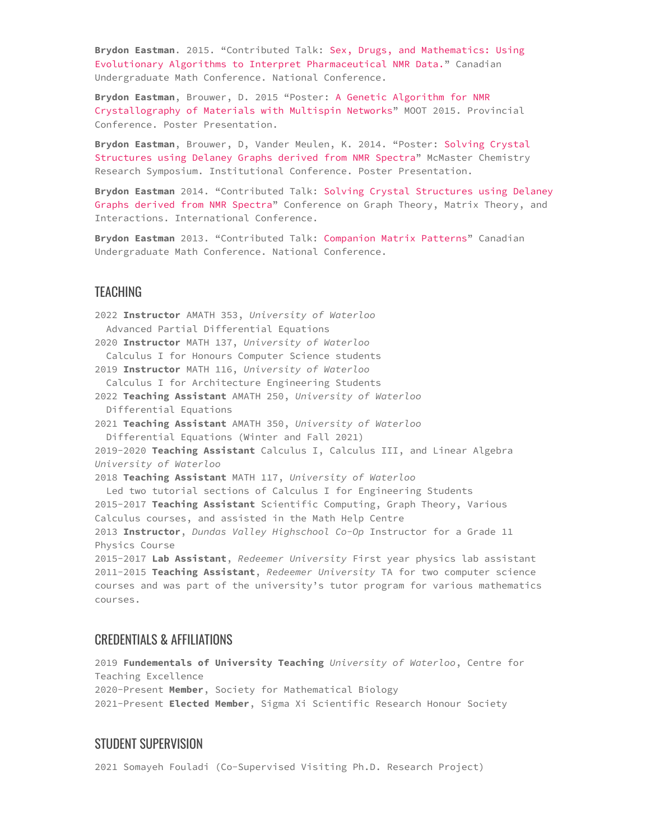**Brydon Eastman**. 2015. "Contributed Talk: Sex, Drugs, and Mathematics: Using Evolutionary Algorithms to Interpret Pharmaceutical NMR Data." Canadian Undergraduate Math Conference. National Conference.

**Brydon Eastman**, Brouwer, D. 2015 "Poster: A Genetic Algorithm for NMR Crystallography of Materials with Multispin Networks" MOOT 2015. Provincial Conference. Poster Presentation.

**Brydon Eastman**, Brouwer, D, Vander Meulen, K. 2014. "Poster: Solving Crystal Structures using Delaney Graphs derived from NMR Spectra" McMaster Chemistry Research Symposium. Institutional Conference. Poster Presentation.

**Brydon Eastman** 2014. "Contributed Talk: Solving Crystal Structures using Delaney Graphs derived from NMR Spectra" Conference on Graph Theory, Matrix Theory, and Interactions. International Conference.

**Brydon Eastman** 2013. "Contributed Talk: Companion Matrix Patterns" Canadian Undergraduate Math Conference. National Conference.

#### TEACHING

2022 **Instructor** AMATH 353, *University of Waterloo* Advanced Partial Differential Equations 2020 **Instructor** MATH 137, *University of Waterloo* Calculus I for Honours Computer Science students 2019 **Instructor** MATH 116, *University of Waterloo* Calculus I for Architecture Engineering Students 2022 **Teaching Assistant** AMATH 250, *University of Waterloo* Differential Equations 2021 **Teaching Assistant** AMATH 350, *University of Waterloo* Differential Equations (Winter and Fall 2021) 2019-2020 **Teaching Assistant** Calculus I, Calculus III, and Linear Algebra *University of Waterloo* 2018 **Teaching Assistant** MATH 117, *University of Waterloo* Led two tutorial sections of Calculus I for Engineering Students 2015-2017 **Teaching Assistant** Scientific Computing, Graph Theory, Various Calculus courses, and assisted in the Math Help Centre 2013 **Instructor**, *Dundas Valley Highschool Co-Op* Instructor for a Grade 11 Physics Course 2015-2017 **Lab Assistant**, *Redeemer University* First year physics lab assistant 2011-2015 **Teaching Assistant**, *Redeemer University* TA for two computer science courses and was part of the university's tutor program for various mathematics courses.

#### CREDENTIALS & AFFILIATIONS

2019 **Fundementals of University Teaching** *University of Waterloo*, Centre for Teaching Excellence 2020-Present **Member**, Society for Mathematical Biology 2021-Present **Elected Member**, Sigma Xi Scientific Research Honour Society

### STUDENT SUPERVISION

2021 Somayeh Fouladi (Co-Supervised Visiting Ph.D. Research Project)